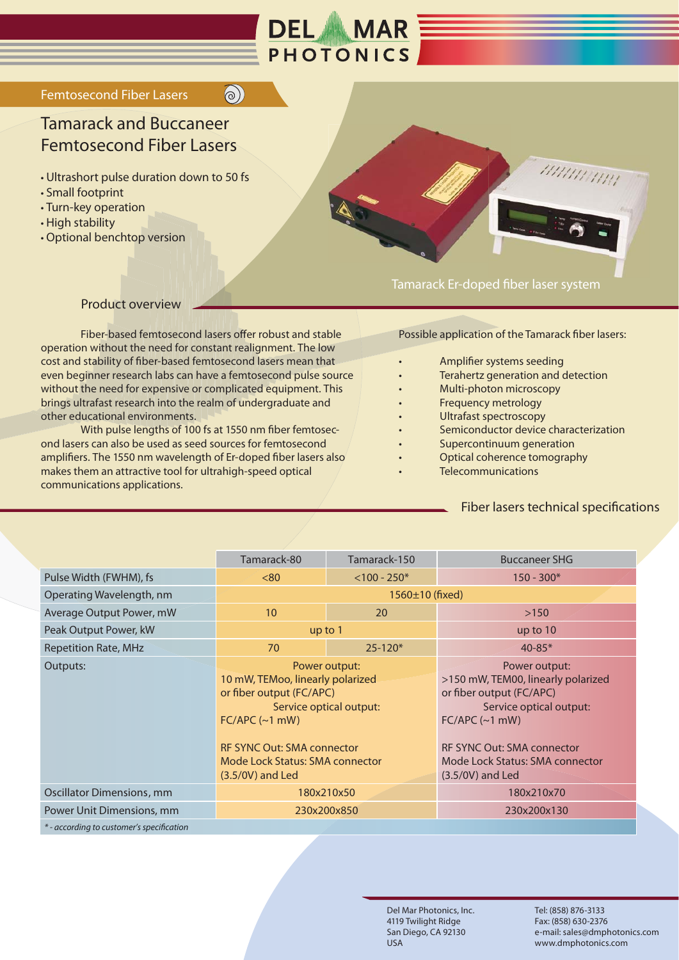

# Femtosecond Fiber Lasers

# Tamarack and Buccaneer Femtosecond Fiber Lasers

- Ultrashort pulse duration down to 50 fs
- Small footprint
- Turn-key operation
- High stability
- Optional benchtop version



# Tamarack Er-doped fiber laser system

#### Product overview

 Fiber-based femtosecond lasers offer robust and stable operation without the need for constant realignment. The low cost and stability of fiber-based femtosecond lasers mean that even beginner research labs can have a femtosecond pulse source without the need for expensive or complicated equipment. This brings ultrafast research into the realm of undergraduate and other educational environments.

 $\bigcirc$ 

 With pulse lengths of 100 fs at 1550 nm fiber femtosecond lasers can also be used as seed sources for femtosecond amplifiers. The 1550 nm wavelength of Er-doped fiber lasers also makes them an attractive tool for ultrahigh-speed optical communications applications.

Possible application of the Tamarack fiber lasers:

- Amplifier systems seeding
- Terahertz generation and detection
- Multi-photon microscopy
- Frequency metrology
- Ultrafast spectroscopy
- Semiconductor device characterization
- Supercontinuum generation
- Optical coherence tomography
- **Telecommunications**

# Fiber lasers technical specifications

|                                           | Tamarack-80                                                                                                                                                                                                                | Tamarack-150          | <b>Buccaneer SHG</b>                                                                                                                                                                                                       |
|-------------------------------------------|----------------------------------------------------------------------------------------------------------------------------------------------------------------------------------------------------------------------------|-----------------------|----------------------------------------------------------------------------------------------------------------------------------------------------------------------------------------------------------------------------|
| Pulse Width (FWHM), fs                    | <80                                                                                                                                                                                                                        | $< 100 - 250*$        | $150 - 300*$                                                                                                                                                                                                               |
| Operating Wavelength, nm                  |                                                                                                                                                                                                                            | $1560 \pm 10$ (fixed) |                                                                                                                                                                                                                            |
| Average Output Power, mW                  | 10                                                                                                                                                                                                                         | 20                    | >150                                                                                                                                                                                                                       |
| Peak Output Power, kW                     | up to 1                                                                                                                                                                                                                    |                       | up to $10$                                                                                                                                                                                                                 |
| <b>Repetition Rate, MHz</b>               | 70                                                                                                                                                                                                                         | $25 - 120*$           | $40 - 85*$                                                                                                                                                                                                                 |
| Outputs:                                  | Power output:<br>10 mW, TEMoo, linearly polarized<br>or fiber output (FC/APC)<br>Service optical output:<br>$FC/APC$ (~1 mW)<br><b>RF SYNC Out: SMA connector</b><br>Mode Lock Status: SMA connector<br>$(3.5/0V)$ and Led |                       | Power output:<br>>150 mW, TEM00, linearly polarized<br>or fiber output (FC/APC)<br>Service optical output:<br>FC/APC (~1 mW)<br><b>RF SYNC Out: SMA connector</b><br>Mode Lock Status: SMA connector<br>$(3.5/0V)$ and Led |
| Oscillator Dimensions, mm                 | 180x210x50                                                                                                                                                                                                                 |                       | 180x210x70                                                                                                                                                                                                                 |
| Power Unit Dimensions, mm                 | 230x200x850                                                                                                                                                                                                                |                       | 230x200x130                                                                                                                                                                                                                |
| * - according to customer's specification |                                                                                                                                                                                                                            |                       |                                                                                                                                                                                                                            |

Del Mar Photonics, Inc. 4119 Twilight Ridge San Diego, CA 92130 USA

Tel: (858) 876-3133 Fax: (858) 630-2376 e-mail: sales@dmphotonics.com www.dmphotonics.com